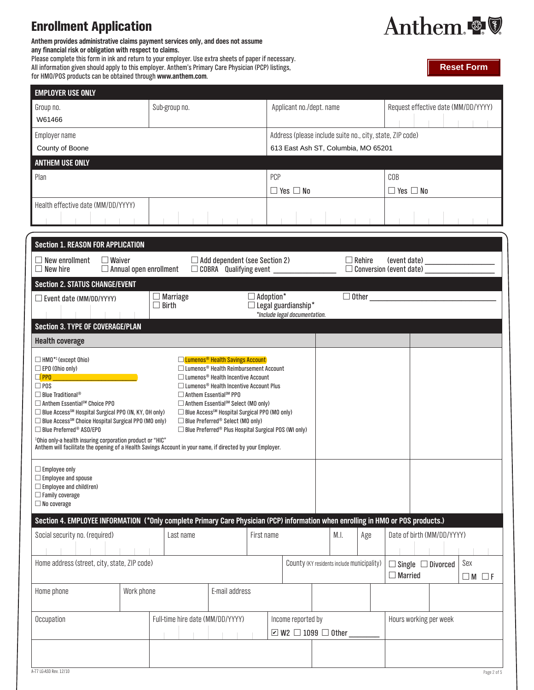## **Enrollment Applicatio**

**Anthem provides administrative claims payment services only, and does not assume any financial risk or obligation with respect to claims.**  Please complete this form in ink and return to your employer. Use extra sheets of paper if necessary. All information given should apply to this employer. Anthem's Primary Care Physician (PCP) listings,

for HMO/POS products can be obtained through **www.anthem.com**.

| m |                                                                                                                 |  |  |
|---|-----------------------------------------------------------------------------------------------------------------|--|--|
|   | the contract of the contract of the contract of the contract of the contract of the contract of the contract of |  |  |



**Reset Form**

| <b>EMPLOYER USE ONLY</b>                                                                                                         |  |                                                           |                                                                                                                  |                  |                                                             |  |                                            |               |  |                      |                                                |                 |  |  |  |  |
|----------------------------------------------------------------------------------------------------------------------------------|--|-----------------------------------------------------------|------------------------------------------------------------------------------------------------------------------|------------------|-------------------------------------------------------------|--|--------------------------------------------|---------------|--|----------------------|------------------------------------------------|-----------------|--|--|--|--|
| Group no.<br>W61466                                                                                                              |  | Sub-group no.                                             |                                                                                                                  |                  | Applicant no./dept. name                                    |  |                                            |               |  |                      | Request effective date (MM/DD/YYYY)            |                 |  |  |  |  |
| Employer name                                                                                                                    |  | Address (please include suite no., city, state, ZIP code) |                                                                                                                  |                  |                                                             |  |                                            |               |  |                      |                                                |                 |  |  |  |  |
| County of Boone                                                                                                                  |  |                                                           |                                                                                                                  |                  | 613 East Ash ST, Columbia, MO 65201                         |  |                                            |               |  |                      |                                                |                 |  |  |  |  |
| <b>ANTHEM USE ONLY</b>                                                                                                           |  |                                                           |                                                                                                                  |                  |                                                             |  |                                            |               |  |                      |                                                |                 |  |  |  |  |
| Plan                                                                                                                             |  |                                                           |                                                                                                                  |                  | <b>PCP</b>                                                  |  |                                            |               |  | COB                  |                                                |                 |  |  |  |  |
|                                                                                                                                  |  |                                                           |                                                                                                                  |                  |                                                             |  |                                            |               |  | $\Box$ Yes $\Box$ No |                                                |                 |  |  |  |  |
| Health effective date (MM/DD/YYYY)                                                                                               |  |                                                           |                                                                                                                  |                  | $\Box$ Yes $\Box$ No                                        |  |                                            |               |  |                      |                                                |                 |  |  |  |  |
|                                                                                                                                  |  |                                                           |                                                                                                                  |                  |                                                             |  |                                            |               |  |                      |                                                |                 |  |  |  |  |
|                                                                                                                                  |  |                                                           |                                                                                                                  |                  |                                                             |  |                                            |               |  |                      |                                                |                 |  |  |  |  |
| <b>Section 1. REASON FOR APPLICATION</b>                                                                                         |  |                                                           |                                                                                                                  |                  |                                                             |  |                                            |               |  |                      |                                                |                 |  |  |  |  |
| $\Box$ New enrollment<br>$\Box$ Waiver<br>$\Box$ New hire                                                                        |  | $\Box$ Annual open enrollment                             | $\Box$ Add dependent (see Section 2)<br>$\Box$ COBRA Qualifying event                                            |                  |                                                             |  |                                            | $\Box$ Rehire |  |                      | (event date)<br>$\Box$ Conversion (event date) |                 |  |  |  |  |
| <b>Section 2. STATUS CHANGE/EVENT</b>                                                                                            |  |                                                           |                                                                                                                  |                  |                                                             |  |                                            |               |  |                      |                                                |                 |  |  |  |  |
| $\Box$ Event date (MM/DD/YYYY)                                                                                                   |  | $\Box$ Marriage                                           |                                                                                                                  | $\Box$ Adoption* |                                                             |  |                                            |               |  | $\Box$ Other         |                                                |                 |  |  |  |  |
|                                                                                                                                  |  | $\Box$ Birth                                              |                                                                                                                  |                  | $\Box$ Legal guardianship*<br>*Include legal documentation. |  |                                            |               |  |                      |                                                |                 |  |  |  |  |
| <b>Section 3. TYPE OF COVERAGE/PLAN</b>                                                                                          |  |                                                           |                                                                                                                  |                  |                                                             |  |                                            |               |  |                      |                                                |                 |  |  |  |  |
| <b>Health coverage</b>                                                                                                           |  |                                                           |                                                                                                                  |                  |                                                             |  |                                            |               |  |                      |                                                |                 |  |  |  |  |
| $\Box$ HMO <sup>*1</sup> (except Ohio)                                                                                           |  |                                                           | <b>Lumenos<sup>®</sup></b> Health Savings Account                                                                |                  |                                                             |  |                                            |               |  |                      |                                                |                 |  |  |  |  |
| $\Box$ EPO (Ohio only)                                                                                                           |  |                                                           | $\Box$ Lumenos® Health Reimbursement Account                                                                     |                  |                                                             |  |                                            |               |  |                      |                                                |                 |  |  |  |  |
| $\Box$ PPO<br>$\square$ POS                                                                                                      |  |                                                           | $\Box$ Lumenos® Health Incentive Account<br>$\Box$ Lumenos <sup>®</sup> Health Incentive Account Plus            |                  |                                                             |  |                                            |               |  |                      |                                                |                 |  |  |  |  |
| $\Box$ Blue Traditional <sup>®</sup>                                                                                             |  |                                                           | □ Anthem Essential <sup>sM</sup> PPO                                                                             |                  |                                                             |  |                                            |               |  |                      |                                                |                 |  |  |  |  |
| $\Box$ Anthem Essential <sup>sM</sup> Choice PPO<br>□ Blue Access <sup>SM</sup> Hospital Surgical PPO (IN, KY, OH only)          |  |                                                           | □ Anthem Essential <sup>sM</sup> Select (MO only)<br>□ Blue Access <sup>SM</sup> Hospital Surgical PPO (MO only) |                  |                                                             |  |                                            |               |  |                      |                                                |                 |  |  |  |  |
| □ Blue Access <sup>SM</sup> Choice Hospital Surgical PPO (MO only)<br>□ Blue Preferred <sup>®</sup> ASO/EPO                      |  |                                                           | □ Blue Preferred <sup>®</sup> Select (MO only)<br>□ Blue Preferred® Plus Hospital Surgical POS (WI only)         |                  |                                                             |  |                                            |               |  |                      |                                                |                 |  |  |  |  |
| <sup>1</sup> Ohio only-a health insuring corporation product or "HIC"                                                            |  |                                                           |                                                                                                                  |                  |                                                             |  |                                            |               |  |                      |                                                |                 |  |  |  |  |
| Anthem will facilitate the opening of a Health Savings Account in your name, if directed by your Employer.                       |  |                                                           |                                                                                                                  |                  |                                                             |  |                                            |               |  |                      |                                                |                 |  |  |  |  |
| $\Box$ Employee only                                                                                                             |  |                                                           |                                                                                                                  |                  |                                                             |  |                                            |               |  |                      |                                                |                 |  |  |  |  |
| $\Box$ Employee and spouse                                                                                                       |  |                                                           |                                                                                                                  |                  |                                                             |  |                                            |               |  |                      |                                                |                 |  |  |  |  |
| $\Box$ Employee and child(ren)<br>$\Box$ Family coverage                                                                         |  |                                                           |                                                                                                                  |                  |                                                             |  |                                            |               |  |                      |                                                |                 |  |  |  |  |
| $\Box$ No coverage                                                                                                               |  |                                                           |                                                                                                                  |                  |                                                             |  |                                            |               |  |                      |                                                |                 |  |  |  |  |
| Section 4. EMPLOYEE INFORMATION (*Only complete Primary Care Physician (PCP) information when enrolling in HMO or POS products.) |  |                                                           |                                                                                                                  |                  |                                                             |  |                                            |               |  |                      |                                                |                 |  |  |  |  |
| Social security no. (required)                                                                                                   |  | Last name                                                 |                                                                                                                  | First name       |                                                             |  | M.I.                                       | Age           |  |                      | Date of birth (MM/DD/YYYY)                     |                 |  |  |  |  |
|                                                                                                                                  |  |                                                           |                                                                                                                  |                  |                                                             |  |                                            |               |  |                      |                                                |                 |  |  |  |  |
| Home address (street, city, state, ZIP code)                                                                                     |  |                                                           |                                                                                                                  |                  |                                                             |  | County (KY residents include municipality) |               |  |                      | $\Box$ Single $\Box$ Divorced                  | Sex             |  |  |  |  |
|                                                                                                                                  |  |                                                           |                                                                                                                  |                  |                                                             |  |                                            |               |  | $\Box$ Married       |                                                | $\Box M \Box F$ |  |  |  |  |
| E-mail address<br>Work phone<br>Home phone                                                                                       |  |                                                           |                                                                                                                  |                  |                                                             |  |                                            |               |  |                      |                                                |                 |  |  |  |  |
|                                                                                                                                  |  |                                                           |                                                                                                                  |                  |                                                             |  |                                            |               |  |                      |                                                |                 |  |  |  |  |
| Occupation                                                                                                                       |  | Full-time hire date (MM/DD/YYYY)                          |                                                                                                                  |                  | Hours working per week                                      |  |                                            |               |  |                      |                                                |                 |  |  |  |  |
|                                                                                                                                  |  |                                                           |                                                                                                                  |                  | Income reported by<br>$\Box$ W2 $\Box$ 1099 $\Box$ Other    |  |                                            |               |  |                      |                                                |                 |  |  |  |  |
|                                                                                                                                  |  |                                                           |                                                                                                                  |                  |                                                             |  |                                            |               |  |                      |                                                |                 |  |  |  |  |
|                                                                                                                                  |  |                                                           |                                                                                                                  |                  |                                                             |  |                                            |               |  |                      |                                                |                 |  |  |  |  |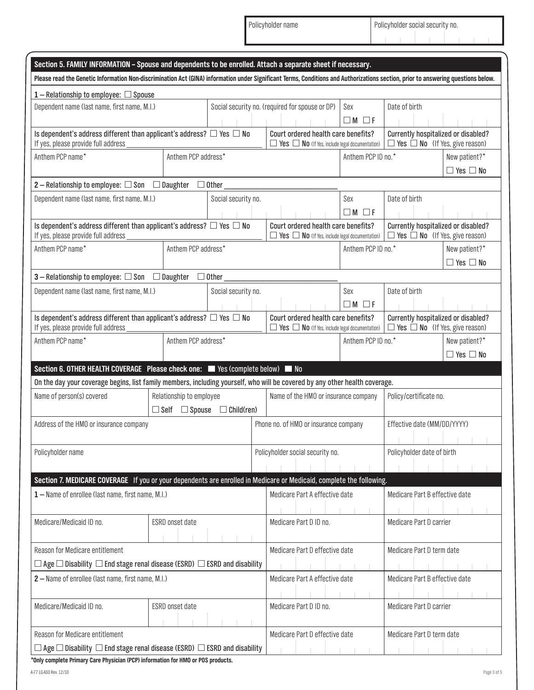Policyholder name Policyholder social security no.

| Section 5. FAMILY INFORMATION - Spouse and dependents to be enrolled. Attach a separate sheet if necessary.                                                                       |                 |                                                       |                                                                                 |                                                                                                   |                          |                                                                                   |                                       |  |  |
|-----------------------------------------------------------------------------------------------------------------------------------------------------------------------------------|-----------------|-------------------------------------------------------|---------------------------------------------------------------------------------|---------------------------------------------------------------------------------------------------|--------------------------|-----------------------------------------------------------------------------------|---------------------------------------|--|--|
| Please read the Genetic Information Non-discrimination Act (GINA) information under Significant Terms, Conditions and Authorizations section, prior to answering questions below. |                 |                                                       |                                                                                 |                                                                                                   |                          |                                                                                   |                                       |  |  |
| $1 -$ Relationship to employee: $\Box$ Spouse                                                                                                                                     |                 |                                                       |                                                                                 |                                                                                                   |                          |                                                                                   |                                       |  |  |
| Dependent name (last name, first name, M.I.)                                                                                                                                      |                 |                                                       |                                                                                 | Social security no. (required for spouse or DP)                                                   | Sex<br>$\Box M \Box F$   | Date of birth                                                                     |                                       |  |  |
| Is dependent's address different than applicant's address? $\Box$ Yes $\Box$ No<br>If yes, please provide full address                                                            |                 |                                                       |                                                                                 | Court ordered health care benefits?<br>$\Box$ Yes $\Box$ No (If Yes, include legal documentation) |                          | Currently hospitalized or disabled?<br>$\Box$ Yes $\Box$ No (If Yes, give reason) |                                       |  |  |
| Anthem PCP name*<br>Anthem PCP address*                                                                                                                                           |                 |                                                       |                                                                                 |                                                                                                   | Anthem PCP ID no.*       |                                                                                   | New patient?*<br>$\Box$ Yes $\Box$ No |  |  |
| 2 - Relationship to employee: $\square$ Son $\square$ Daughter $\square$ Other                                                                                                    |                 |                                                       |                                                                                 |                                                                                                   |                          |                                                                                   |                                       |  |  |
| Dependent name (last name, first name, M.I.)                                                                                                                                      |                 |                                                       | Social security no.                                                             |                                                                                                   | Sex<br>$\Box M$ $\Box F$ | Date of birth                                                                     |                                       |  |  |
| Is dependent's address different than applicant's address? $\Box$ Yes $\Box$ No<br>If yes, please provide full address                                                            |                 |                                                       |                                                                                 | Court ordered health care benefits?<br>$\Box$ Yes $\Box$ No (If Yes, include legal documentation) |                          | Currently hospitalized or disabled?<br>$\Box$ Yes $\Box$ No (If Yes, give reason) |                                       |  |  |
| Anthem PCP name*<br>Anthem PCP address*                                                                                                                                           |                 |                                                       |                                                                                 |                                                                                                   | Anthem PCP ID no.*       |                                                                                   | New patient?*<br>$\Box$ Yes $\Box$ No |  |  |
| <b>3</b> - Relationship to employee: $\square$ Son $\square$ Daughter $\square$ Other                                                                                             |                 |                                                       |                                                                                 |                                                                                                   |                          |                                                                                   |                                       |  |  |
| Dependent name (last name, first name, M.I.)                                                                                                                                      |                 |                                                       | Social security no.                                                             |                                                                                                   | Sex<br>$\Box M$ $\Box F$ | Date of birth                                                                     |                                       |  |  |
| Is dependent's address different than applicant's address? $\Box$ Yes $\Box$ No<br>If yes, please provide full address                                                            |                 |                                                       |                                                                                 | Court ordered health care benefits?<br>$\Box$ Yes $\Box$ No (If Yes, include legal documentation) |                          | Currently hospitalized or disabled?<br>$\Box$ Yes $\Box$ No (If Yes, give reason) |                                       |  |  |
| Anthem PCP address*<br>Anthem PCP name*                                                                                                                                           |                 |                                                       |                                                                                 | Anthem PCP ID no.*                                                                                |                          | New patient?*<br>$\Box$ Yes $\Box$ No                                             |                                       |  |  |
| Section 6. OTHER HEALTH COVERAGE Please check one: Yes (complete below) No                                                                                                        |                 |                                                       |                                                                                 |                                                                                                   |                          |                                                                                   |                                       |  |  |
| On the day your coverage begins, list family members, including yourself, who will be covered by any other health coverage.                                                       |                 |                                                       |                                                                                 |                                                                                                   |                          |                                                                                   |                                       |  |  |
| Name of person(s) covered                                                                                                                                                         |                 | Relationship to employee<br>$\Box$ Self $\Box$ Spouse | $\Box$ Child(ren)                                                               | Name of the HMO or insurance company                                                              |                          | Policy/certificate no.                                                            |                                       |  |  |
| Address of the HMO or insurance company                                                                                                                                           |                 |                                                       | Phone no. of HMO or insurance company                                           |                                                                                                   |                          | Effective date (MM/DD/YYYY)                                                       |                                       |  |  |
| Policyholder name                                                                                                                                                                 |                 |                                                       |                                                                                 | Policyholder social security no.                                                                  |                          | Policyholder date of birth                                                        |                                       |  |  |
| Section 7. MEDICARE COVERAGE If you or your dependents are enrolled in Medicare or Medicaid, complete the following.                                                              |                 |                                                       |                                                                                 |                                                                                                   |                          |                                                                                   |                                       |  |  |
| 1 - Name of enrollee (last name, first name, M.I.)                                                                                                                                |                 |                                                       |                                                                                 | Medicare Part A effective date                                                                    |                          | Medicare Part B effective date                                                    |                                       |  |  |
| Medicare/Medicaid ID no.                                                                                                                                                          | ESRD onset date |                                                       |                                                                                 | Medicare Part D ID no.                                                                            |                          | Medicare Part D carrier                                                           |                                       |  |  |
| Reason for Medicare entitlement                                                                                                                                                   |                 |                                                       |                                                                                 | Medicare Part D effective date                                                                    |                          | Medicare Part D term date                                                         |                                       |  |  |
| $\Box$ Age $\Box$ Disability $\Box$ End stage renal disease (ESRD) $\Box$ ESRD and disability                                                                                     |                 |                                                       |                                                                                 |                                                                                                   |                          |                                                                                   |                                       |  |  |
| 2 – Name of enrollee (last name, first name, M.I.)                                                                                                                                |                 |                                                       |                                                                                 | Medicare Part A effective date                                                                    |                          | Medicare Part B effective date                                                    |                                       |  |  |
| Medicare/Medicaid ID no.                                                                                                                                                          | ESRD onset date |                                                       |                                                                                 | Medicare Part D ID no.                                                                            |                          | Medicare Part D carrier                                                           |                                       |  |  |
| Reason for Medicare entitlement                                                                                                                                                   |                 |                                                       |                                                                                 | Medicare Part D effective date                                                                    |                          | Medicare Part D term date                                                         |                                       |  |  |
| $\Box$ Age $\Box$ Disability $\Box$ End stage renal disease (ESRD) $\Box$ ESRD and disability                                                                                     |                 |                                                       | *Only complete Drimory Caro Physician (DCD) information for UMO or DOS products |                                                                                                   |                          |                                                                                   |                                       |  |  |

**\*Only complete Primary Care Physician (PCP) information for HMO or POS products.**